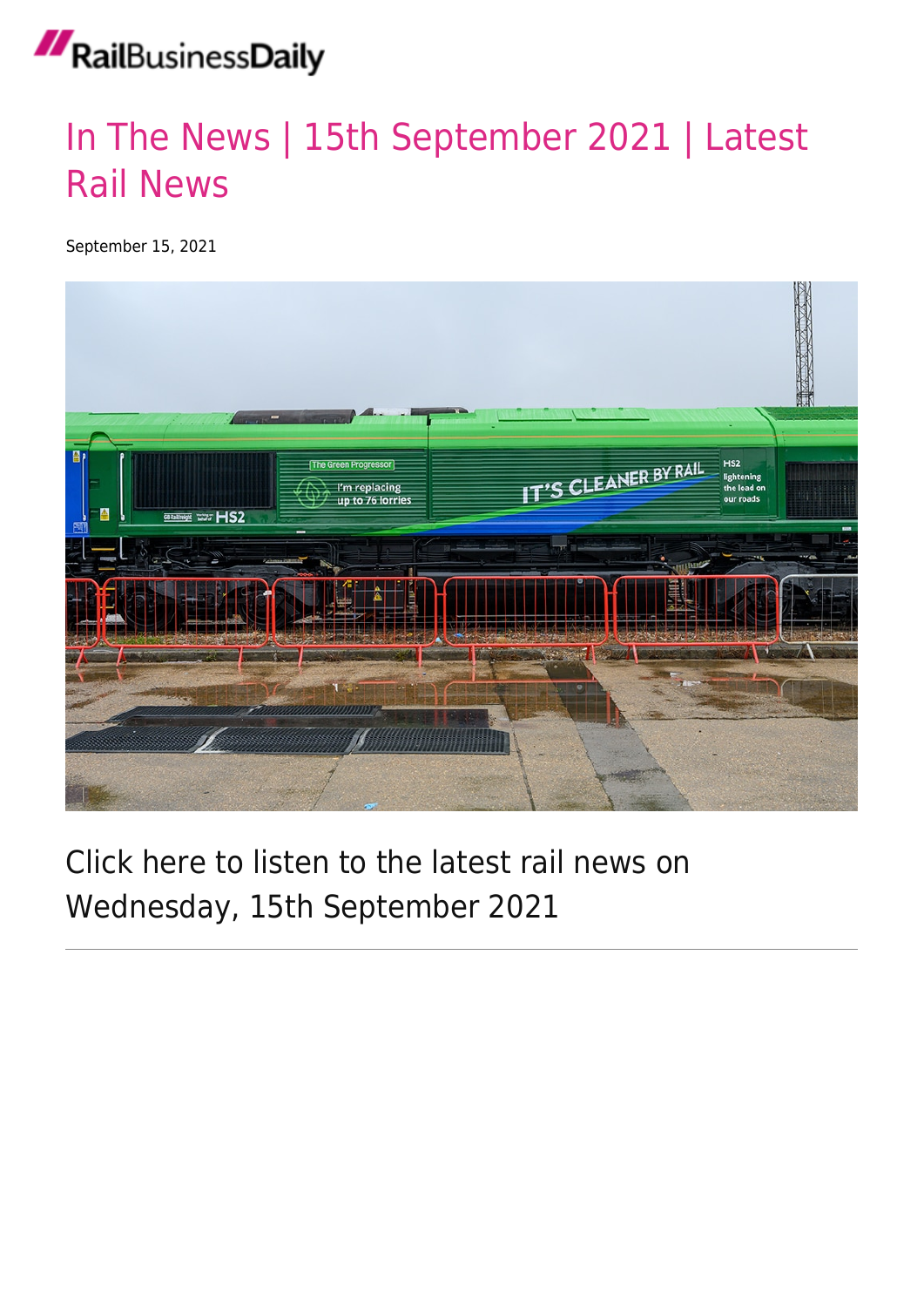### RailBusinessDaily

#### [In The News | 15th September 2021 | Latest](https://news.railbusinessdaily.com/in-the-news-15th-september-2021-latest-rail-news/) [Rail News](https://news.railbusinessdaily.com/in-the-news-15th-september-2021-latest-rail-news/)

September 15, 2021



#### Click here to listen to the latest rail news on Wednesday, 15th September 2021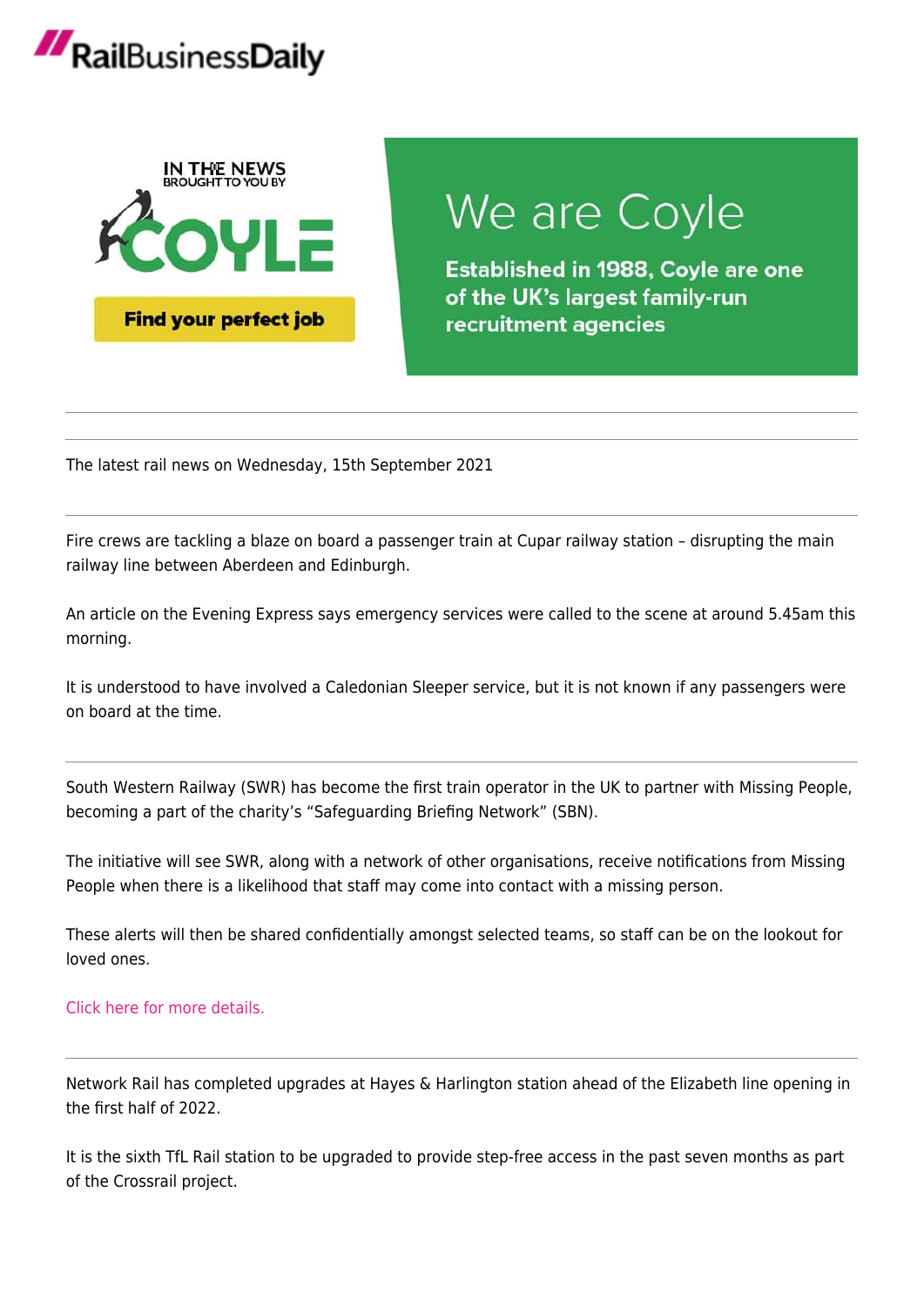# RailBusinessDaily



## We are Coyle

**Established in 1988, Coyle are one** of the UK's largest family-run recruitment agencies

The latest rail news on Wednesday, 15th September 2021

Fire crews are tackling a blaze on board a passenger train at Cupar railway station – disrupting the main railway line between Aberdeen and Edinburgh.

An article on the Evening Express says emergency services were called to the scene at around 5.45am this morning.

It is understood to have involved a Caledonian Sleeper service, but it is not known if any passengers were on board at the time.

South Western Railway (SWR) has become the first train operator in the UK to partner with Missing People, becoming a part of the charity's "Safeguarding Briefing Network" (SBN).

The initiative will see SWR, along with a network of other organisations, receive notifications from Missing People when there is a likelihood that staff may come into contact with a missing person.

These alerts will then be shared confidentially amongst selected teams, so staff can be on the lookout for loved ones.

#### [Click here for more details.](https://news.railbusinessdaily.com/south-western-railway-partners-with-missing-people-charity-to-help-identify-missing-loved-ones/)

Network Rail has completed upgrades at Hayes & Harlington station ahead of the Elizabeth line opening in the first half of 2022.

It is the sixth TfL Rail station to be upgraded to provide step-free access in the past seven months as part of the Crossrail project.